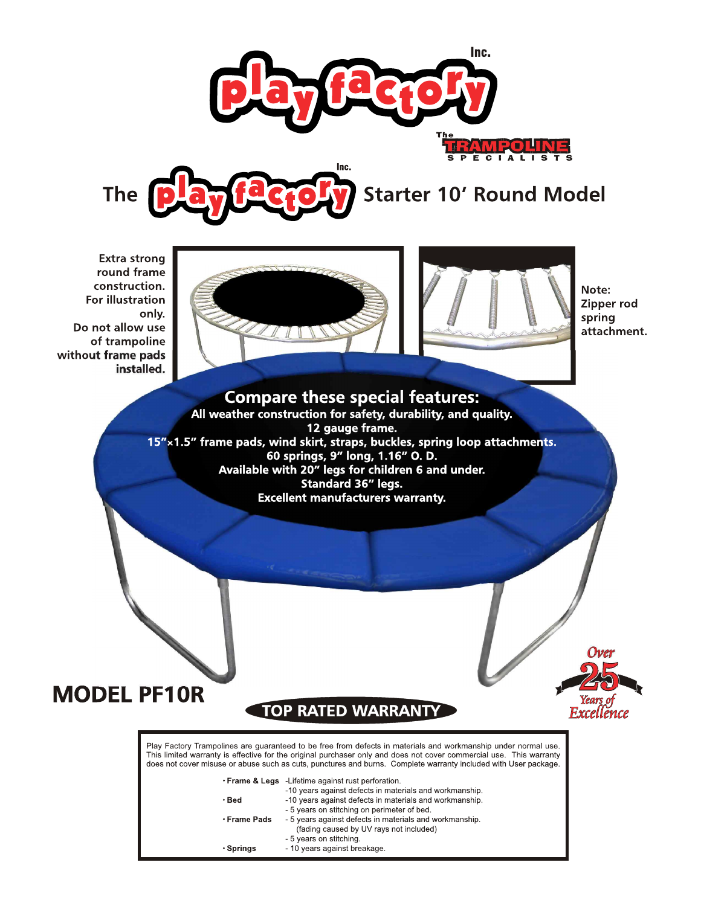



# **Starter 10' Round Model**

**Extra strong** round frame construction. **For illustration** only. Do not allow use of trampoline without frame pads installed.





Note: Zipper rod spring attachment.

Ovei

Excellence

# **Compare these special features:**

All weather construction for safety, durability, and quality. 12 gauge frame.<br>15"x1.5" frame pads, wind skirt, straps, buckles, spring loop attachments.<br>60 springs, 9" long, 1.16" O. D. Available with 20" legs for children 6 and under. Standard 36" legs. **Excellent manufacturers warranty.** 



# **TOP RATED WARRANT**

Play Factory Trampolines are guaranteed to be free from defects in materials and workmanship under normal use. This limited warranty is effective for the original purchaser only and does not cover commercial use. This warranty does not cover misuse or abuse such as cuts, punctures and burns. Complete warranty included with User package.

|              | . Frame & Legs - Lifetime against rust perforation.     |
|--------------|---------------------------------------------------------|
|              | -10 years against defects in materials and workmanship. |
| $\cdot$ Bed  | -10 years against defects in materials and workmanship. |
|              | - 5 years on stitching on perimeter of bed.             |
| ∙ Frame Pads | - 5 years against defects in materials and workmanship. |
|              | (fading caused by UV rays not included)                 |
|              | - 5 years on stitching.                                 |
| • Sprinas    | - 10 years against breakage.                            |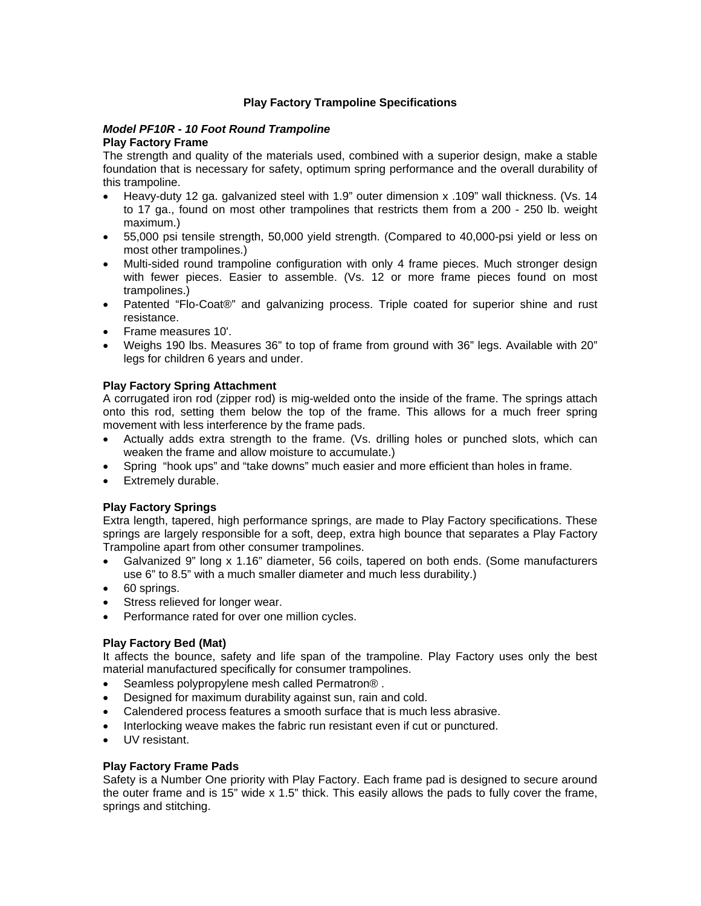### **Play Factory Trampoline Specifications**

#### *Model PF10R - 10 Foot Round Trampoline*  **Play Factory Frame**

The strength and quality of the materials used, combined with a superior design, make a stable foundation that is necessary for safety, optimum spring performance and the overall durability of this trampoline.

- Heavy-duty 12 ga. galvanized steel with 1.9" outer dimension x .109" wall thickness. (Vs. 14 to 17 ga., found on most other trampolines that restricts them from a 200 - 250 lb. weight maximum.)
- 55,000 psi tensile strength, 50,000 yield strength. (Compared to 40,000-psi yield or less on most other trampolines.)
- Multi-sided round trampoline configuration with only 4 frame pieces. Much stronger design with fewer pieces. Easier to assemble. (Vs. 12 or more frame pieces found on most trampolines.)
- Patented "Flo-Coat®" and galvanizing process. Triple coated for superior shine and rust resistance.
- Frame measures 10'.
- Weighs 190 lbs. Measures 36" to top of frame from ground with 36" legs. Available with 20" legs for children 6 years and under.

# **Play Factory Spring Attachment**

A corrugated iron rod (zipper rod) is mig-welded onto the inside of the frame. The springs attach onto this rod, setting them below the top of the frame. This allows for a much freer spring movement with less interference by the frame pads.

- Actually adds extra strength to the frame. (Vs. drilling holes or punched slots, which can weaken the frame and allow moisture to accumulate.)
- Spring "hook ups" and "take downs" much easier and more efficient than holes in frame.
- Extremely durable.

# **Play Factory Springs**

Extra length, tapered, high performance springs, are made to Play Factory specifications. These springs are largely responsible for a soft, deep, extra high bounce that separates a Play Factory Trampoline apart from other consumer trampolines.

- Galvanized 9" long x 1.16" diameter, 56 coils, tapered on both ends. (Some manufacturers use 6" to 8.5" with a much smaller diameter and much less durability.)
- 60 springs.
- Stress relieved for longer wear.
- Performance rated for over one million cycles.

# **Play Factory Bed (Mat)**

It affects the bounce, safety and life span of the trampoline. Play Factory uses only the best material manufactured specifically for consumer trampolines.

- Seamless polypropylene mesh called Permatron® .
- Designed for maximum durability against sun, rain and cold.
- Calendered process features a smooth surface that is much less abrasive.
- Interlocking weave makes the fabric run resistant even if cut or punctured.
- UV resistant.

#### **Play Factory Frame Pads**

Safety is a Number One priority with Play Factory. Each frame pad is designed to secure around the outer frame and is 15" wide x 1.5" thick. This easily allows the pads to fully cover the frame, springs and stitching.